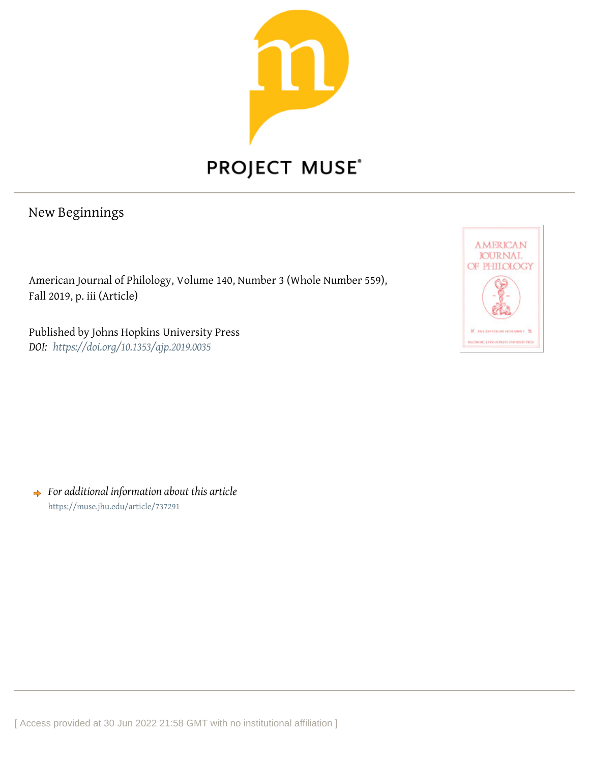

## PROJECT MUSE®

## New Beginnings

American Journal of Philology, Volume 140, Number 3 (Whole Number 559), Fall 2019, p. iii (Article)

Published by Johns Hopkins University Press *DOI: <https://doi.org/10.1353/ajp.2019.0035>*



*For additional information about this article* <https://muse.jhu.edu/article/737291>